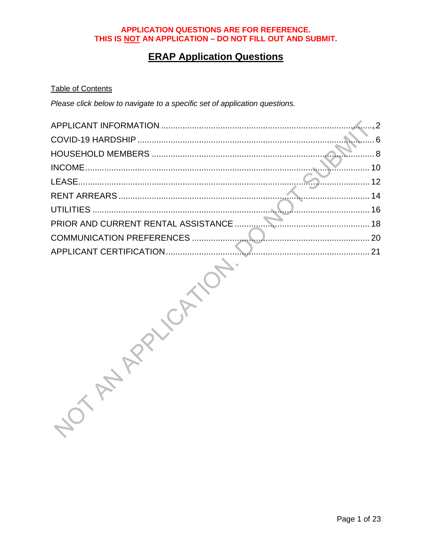# **ERAP Application Questions**

#### **Table of Contents**

Please click below to navigate to a specific set of application questions.

|                                     | $\cdot$ 2 |
|-------------------------------------|-----------|
|                                     | . 6       |
|                                     |           |
|                                     | 10        |
|                                     | 12        |
|                                     | 14        |
|                                     | 16        |
| PRIOR AND CURRENT RENTAL ASSISTANCE |           |
| COMMUNICATION PREFERENCES           | $\sum$ 20 |
| APPLICANT CERTIFICATION             | 21        |
|                                     |           |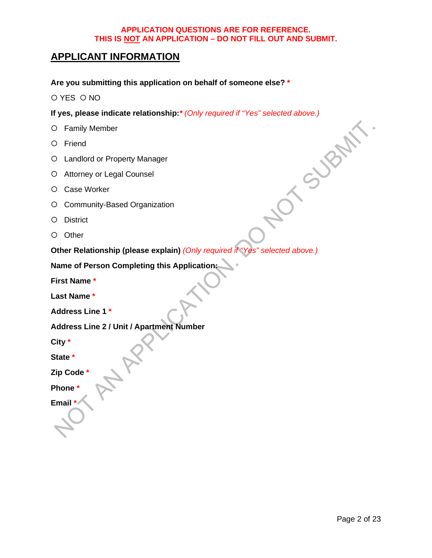# <span id="page-1-0"></span>**APPLICANT INFORMATION**

**Are you submitting this application on behalf of someone else? \***

O YES O NO

**If yes, please indicate relationship:***\* (Only required if "Yes" selected above.)*<br>  $\bigcirc$  Family Member<br>  $\bigcirc$  Friend<br>  $\bigcirc$  Landlord or Property Manager<br>  $\bigcirc$  Attorney or Legal Counsel<br>  $\bigcirc$  Case Worker<br>  $\bigcirc$  Commun

- Family Member
- O Friend
- Landlord or Property Manager
- Attorney or Legal Counsel
- O Case Worker
- Community-Based Organization
- O District
- O Other

**Other Relationship (please explain)** *(Only required if "Yes" selected above.)*

**Name of Person Completing this Application:**

**First Name \***

**Last Name \***

**Address Line 1 \***

**Address Line 2 / Unit / Apartment Number** 

**City \***

**State \***

**Zip Code \***

**Phone \***

**Email \***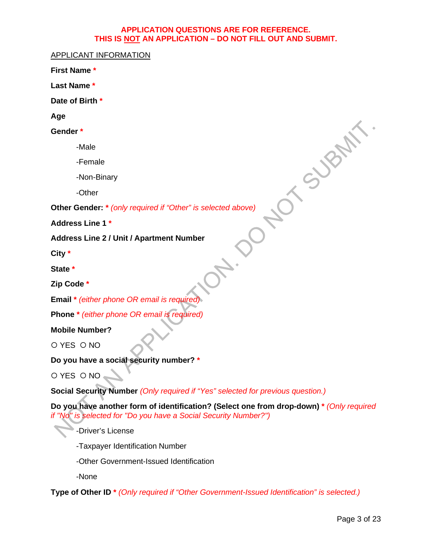APPLICANT INFORMATION

**First Name \***

**Last Name \***

**Date of Birth \***

**Age**

**Gender \***

-Male

-Female

-Non-Binary

-Other

**Other Gender: \*** *(only required if "Other" is selected above)*

**Address Line 1 \***

**Address Line 2 / Unit / Apartment Number** 

**City \***

**State \***

**Zip Code \***

**Email \*** *(either phone OR email is required)*

**Phone \*** *(either phone OR email is required)*

**Mobile Number?**

O YES O NO

**Do you have a social security number? \***

O YES ONO.

**Social Security Number** *(Only required if "Yes" selected for previous question.)*

**Do you have another form of identification? (Select one from drop-down) \*** *(Only required if "No" is selected for "Do you have a Social Security Number?")*

**DR. 120** 

-Driver's License

-Taxpayer Identification Number

-Other Government-Issued Identification

-None

**Type of Other ID \*** *(Only required if "Other Government-Issued Identification" is selected.)*

NOTS BANY.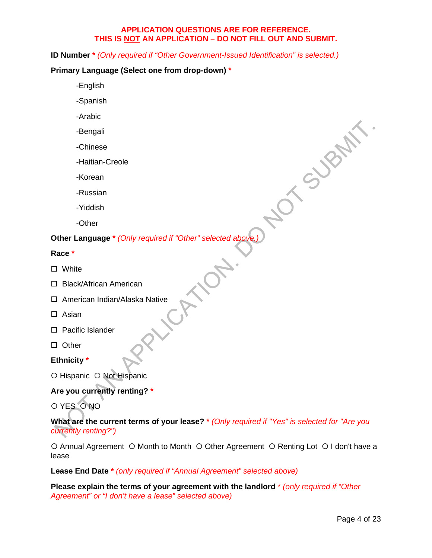**ID Number \*** *(Only required if "Other Government-Issued Identification" is selected.)*

#### **Primary Language (Select one from drop-down) \***

- -English
- -Spanish
- -Arabic
- -Bengali
- -Chinese
- -Haitian-Creole
- -Korean
- -Russian
- -Yiddish
- -Other

# Privation<br>
- **Condition**<br>
- Other Language \* *(Only required if "Other" selected above.)*

#### **Race \***

- □ White
- □ Black/African American
- $\square$  American Indian/Alaska Native<br> $\square$  Asian<br> $\square$  Pacific Li
- $\square$  Asian
- □ Pacific Islander
- $\square$  Other
- **Ethnicity \***
- O Hispanic O Not Hispanic

#### **Are you currently renting? \***

O YES O NO

#### **What are the current terms of your lease? \*** *(Only required if "Yes" is selected for "Are you currently renting?")*

**ANDY** 

 $\circ$  Annual Agreement  $\circ$  Month to Month  $\circ$  Other Agreement  $\circ$  Renting Lot  $\circ$  I don't have a lease

#### **Lease End Date \*** *(only required if "Annual Agreement" selected above)*

**Please explain the terms of your agreement with the landlord** \* *(only required if "Other Agreement" or "I don't have a lease" selected above)*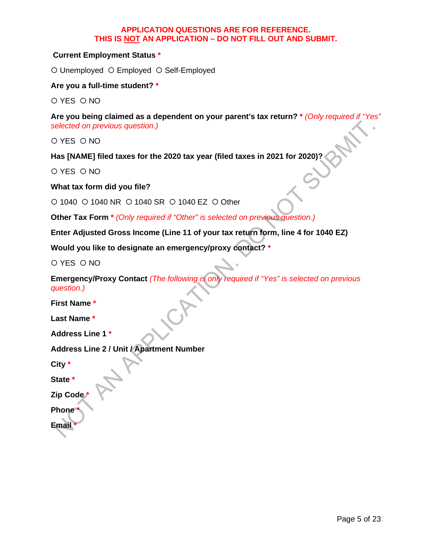#### **Current Employment Status \***

O Unemployed O Employed O Self-Employed

**Are you a full-time student? \***

O YES O NO

**Are you being claimed as a dependent on your parent's tax return? \*** *(Only required if "Yes" selected on previous question.)*

O YES O NO

**Has [NAME] filed taxes for the 2020 tax year (filed taxes in 2021 for 2020)?**

O YES O NO

**What tax form did you file?**

O 1040 O 1040 NR O 1040 SR O 1040 EZ O Other

**Other Tax Form \*** *(Only required if "Other" is selected on previous question.)*

**Enter Adjusted Gross Income (Line 11 of your tax return form, line 4 for 1040 EZ)** 

**Would you like to designate an emergency/proxy contact? \***

O YES O NO

**Emergency/Proxy Contact** *(The following is only required if "Yes" is selected on previous question.)*

**First Name \***

**Last Name \***

**Address Line 1 \***

**Address Line 2 / Unit / Apartment Number** 

**City \***

**State \***

**Zip Code \***

**Phone \***

**Email \***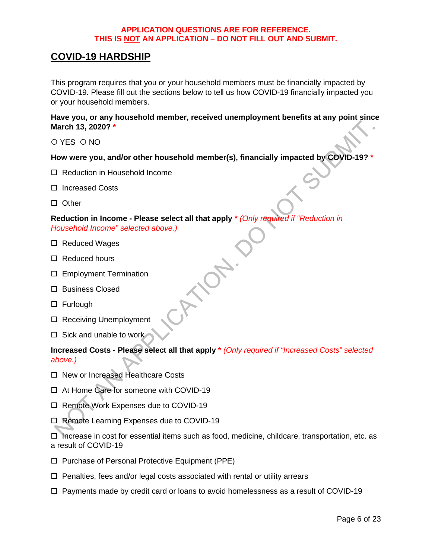# <span id="page-5-0"></span>**COVID-19 HARDSHIP**

This program requires that you or your household members must be financially impacted by COVID-19. Please fill out the sections below to tell us how COVID-19 financially impacted you or your household members.

**Have you, or any household member, received unemployment benefits at any point since March 13, 2020? \***

O YES O NO

#### **How were you, and/or other household member(s), financially impacted by COVID-19? \***

- □ Reduction in Household Income
- □ Increased Costs
- □ Other

#### **Reduction in Income - Please select all that apply \*** *(Only required if "Reduction in Household Income" selected above.)*

- □ Reduced Wages
- □ Reduced hours
- □ Employment Termination
- □ Business Closed
- □ Furlough
- □ Receiving Unemployment
- $\square$  Sick and unable to work

#### **Increased Costs - Please select all that apply \*** *(Only required if "Increased Costs" selected above.)*

- □ New or Increased Healthcare Costs
- □ At Home Care for someone with COVID-19
- □ Remote Work Expenses due to COVID-19
- □ Remote Learning Expenses due to COVID-19

 $\Box$  Increase in cost for essential items such as food, medicine, childcare, transportation, etc. as a result of COVID-19

- □ Purchase of Personal Protective Equipment (PPE)
- $\Box$  Penalties, fees and/or legal costs associated with rental or utility arrears
- $\Box$  Payments made by credit card or loans to avoid homelessness as a result of COVID-19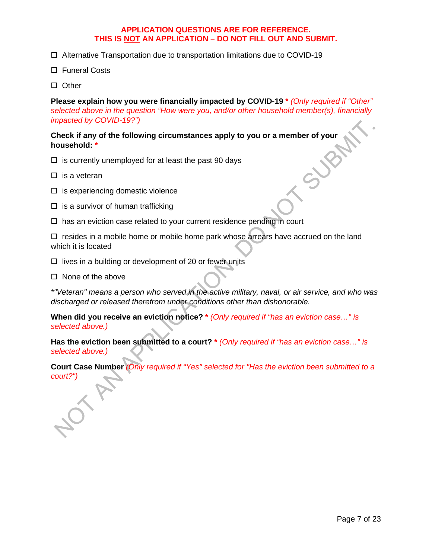- Alternative Transportation due to transportation limitations due to COVID-19
- □ Funeral Costs
- □ Other

**Please explain how you were financially impacted by COVID-19 \*** *(Only required if "Other" selected above in the question "How were you, and/or other household member(s), financially impacted by COVID-19?")*

# Check if any of the following circumstances apply to you or a member of your<br>household:  $*$ <br> $\Box$  is currently unemployed for at least the past 90 days<br> $\Box$  is a veteran<br> $\Box$  is expected. **household: \***

- $\Box$  is currently unemployed for at least the past 90 days
- $\square$  is a veteran
- $\square$  is experiencing domestic violence
- $\Box$  is a survivor of human trafficking
- $\square$  has an eviction case related to your current residence pending in court

 $\square$  resides in a mobile home or mobile home park whose arrears have accrued on the land which it is located

 $\Box$  lives in a building or development of 20 or fewer units

 $\square$  None of the above

*\*"Veteran" means a person who served in the active military, naval, or air service, and who was discharged or released therefrom under conditions other than dishonorable.*

**When did you receive an eviction notice? \*** *(Only required if "has an eviction case…" is selected above.)*

**Has the eviction been submitted to a court? \*** *(Only required if "has an eviction case…" is selected above.)*

**Court Case Number** *(Only required if "Yes" selected for "Has the eviction been submitted to a court?")*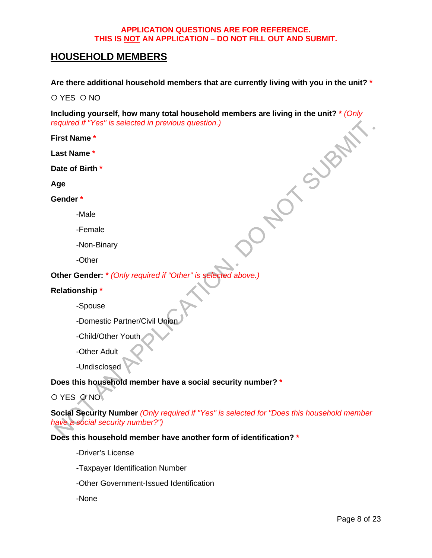# <span id="page-7-0"></span>**HOUSEHOLD MEMBERS**

**Are there additional household members that are currently living with you in the unit? \***

O YES O NO

**Including yourself, how many total household members are living in the unit?** \* (Only required if "Yes" is selected in previous question.)<br>
First Name \*<br>
Last Name \*<br>
Date of Birth \*<br>
Age<br>
Gender \*<br>
-Male *required if "Yes" is selected in previous question.)*

**First Name \***

**Last Name \***

**Date of Birth \***

**Age** 

**Gender \***

- -Male
- -Female
- -Non-Binary
- -Other

**Other Gender: \*** *(Only required if "Other" is selected above.)*

#### **Relationship \***

-Spouse

-Domestic Partner/Civil Union

-Child/Other Youth

-Other Adult

-Undisclosed

#### **Does this household member have a social security number? \***

O YES ONO

**Social Security Number** *(Only required if "Yes" is selected for "Does this household member have a social security number?")*

#### **Does this household member have another form of identification? \***

-Driver's License

-Taxpayer Identification Number

-Other Government-Issued Identification

-None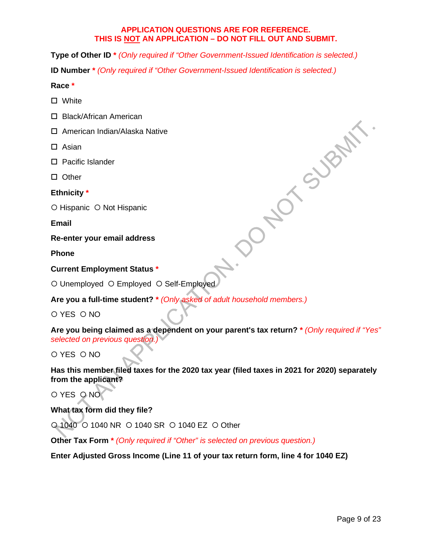**Type of Other ID \*** *(Only required if "Other Government-Issued Identification is selected.)*

**ID Number \*** *(Only required if "Other Government-Issued Identification is selected.)*

#### **Race \***

- □ White
- □ Black/African American
- American Indian/Alaska Native
- $\square$  Asian
- □ Pacific Islander
- $\square$  Other

**Ethnicity \***

O Hispanic O Not Hispanic

**Email** 

**Re-enter your email address**

**Phone** 

#### **Current Employment Status \***

O Unemployed O Employed O Self-Employed

**Are you a full-time student? \*** *(Only asked of adult household members.)*

O YES O NO

**Are you being claimed as a dependent on your parent's tax return? \*** *(Only required if "Yes" selected on previous question.)*

DONO SUBART

O YES O NO

**Has this member filed taxes for the 2020 tax year (filed taxes in 2021 for 2020) separately from the applicant?**

O YES O NO

**What tax form did they file?**

O 1040 O 1040 NR O 1040 SR O 1040 EZ O Other

**Other Tax Form \*** *(Only required if "Other" is selected on previous question.)*

**Enter Adjusted Gross Income (Line 11 of your tax return form, line 4 for 1040 EZ)**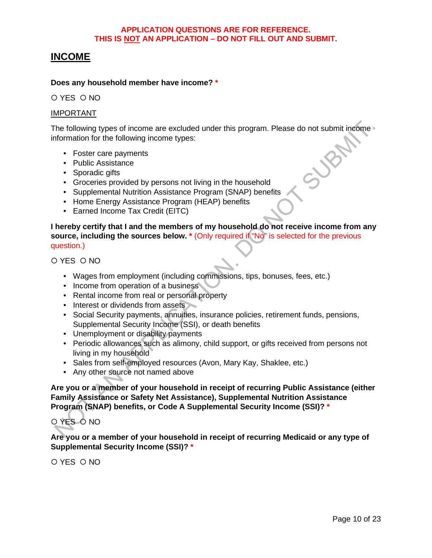# <span id="page-9-0"></span>**INCOME**

#### **Does any household member have income? \***

O YES O NO

#### IMPORTANT

The following types of income are excluded under this program. Please do not submit income<br>
information for the following income types:<br>
• Foster care payments<br>
• Public Assistance<br>
• Sporadic gifts<br>
• Groceries provided b information for the following income types:

- Foster care payments
- Public Assistance
- Sporadic gifts
- Groceries provided by persons not living in the household
- Supplemental Nutrition Assistance Program (SNAP) benefits
- Home Energy Assistance Program (HEAP) benefits
- Earned Income Tax Credit (EITC)

**I hereby certify that I and the members of my household do not receive income from any source, including the sources below. \*** (Only required if "No" is selected for the previous question.)

O YES O NO

- Wages from employment (including commissions, tips, bonuses, fees, etc.)
- Income from operation of a business
- Rental income from real or personal property
- Interest or dividends from assets
- Social Security payments, annuities, insurance policies, retirement funds, pensions, Supplemental Security Income (SSI), or death benefits
- Unemployment or disability payments
- Periodic allowances such as alimony, child support, or gifts received from persons not living in my household
- Sales from self-employed resources (Avon, Mary Kay, Shaklee, etc.)
- Any other source not named above

**Are you or a member of your household in receipt of recurring Public Assistance (either Family Assistance or Safety Net Assistance), Supplemental Nutrition Assistance Program (SNAP) benefits, or Code A Supplemental Security Income (SSI)? \***

### O YES ONO

**Are you or a member of your household in receipt of recurring Medicaid or any type of Supplemental Security Income (SSI)? \***

O YES O NO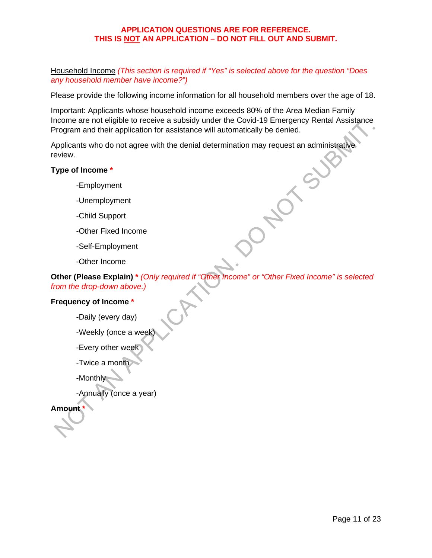Household Income *(This section is required if "Yes" is selected above for the question "Does any household member have income?")*

Please provide the following income information for all household members over the age of 18.

Important: Applicants whose household income exceeds 80% of the Area Median Family Income are not eligible to receive a subsidy under the Covid-19 Emergency Rental Assistance Program and their application for assistance will automatically be denied.

 $\sigma$ 

Applicants who do not agree with the denial determination may request an administrative review.

#### **Type of Income \***

- -Employment
- -Unemployment
- -Child Support
- -Other Fixed Income
- -Self-Employment
- -Other Income

**Other (Please Explain) \*** *(Only required if "Other Income" or "Other Fixed Income" is selected from the drop-down above.)*

#### **Frequency of Income \***

- -Daily (every day)
- -Weekly (once a week)
- -Every other week
- -Twice a month

-Monthly

-Annually (once a year)

#### **Amount \***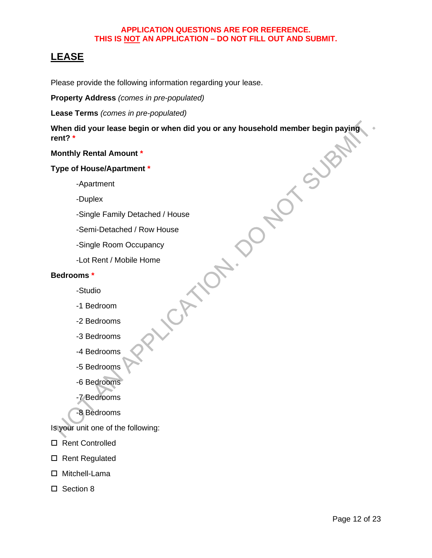# <span id="page-11-0"></span>**LEASE**

Please provide the following information regarding your lease.

**Property Address** *(comes in pre-populated)*

Lease Terms *(comes in pre-populated)*<br>
When did your lease begin or when did you or any household member begin payit<br>
rent? \*<br>
Monthly Rental Amount \*<br>
Type of House/Apartment \*<br>
-Apartment<br>
-Apartment<br>
-Duplex<br>
-Single F **When did your lease begin or when did you or any household member begin paying rent? \***

#### **Monthly Rental Amount \***

#### **Type of House/Apartment \***

-Apartment

-Duplex

-Single Family Detached / House

-Semi-Detached / Row House

-Single Room Occupancy

-Lot Rent / Mobile Home

#### **Bedrooms \***

- -Studio
- -1 Bedroom
- -2 Bedrooms
- -3 Bedrooms
- -4 Bedrooms
- -5 Bedrooms
- -6 Bedrooms
- -7 Bedrooms
- -8 Bedrooms

Is your unit one of the following:

- □ Rent Controlled
- □ Rent Regulated
- □ Mitchell-Lama
- □ Section 8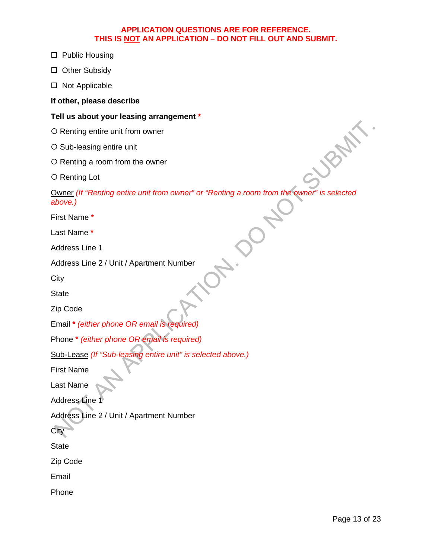- □ Public Housing
- □ Other Subsidy
- □ Not Applicable

**If other, please describe** 

#### **Tell us about your leasing arrangement \***

- O Renting entire unit from owner
- O Sub-leasing entire unit
- O Renting a room from the owner
- O Renting Lot

Owner *(If "Renting entire unit from owner" or "Renting a room from the owner" is selected above.)*

First Name **\***

Last Name **\***

Address Line 1

```
Address Line 2 / Unit / Apartment Number
```
**City** 

**State** 

Zip Code

```
Email * (either phone OR email is required)
```

```
Phone * (either phone OR email is required)
```

```
Sub-Lease (If "Sub-leasing entire unit" is selected above.)
```
First Name

Last Name

Address Line 1

Address Line 2 / Unit / Apartment Number

**City** 

**State** 

Zip Code

Email

Phone

**JRAN**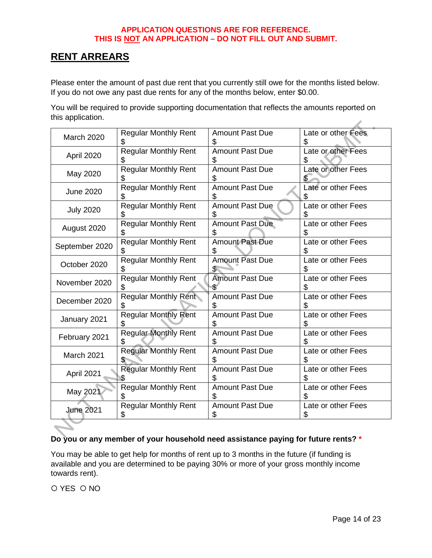# <span id="page-13-0"></span>**RENT ARREARS**

Please enter the amount of past due rent that you currently still owe for the months listed below. If you do not owe any past due rents for any of the months below, enter \$0.00.

You will be required to provide supporting documentation that reflects the amounts reported on this application.

| March 2020       | <b>Regular Monthly Rent</b>       | <b>Amount Past Due</b>       | Late or other Fees      |
|------------------|-----------------------------------|------------------------------|-------------------------|
| April 2020       | <b>Regular Monthly Rent</b>       | <b>Amount Past Due</b><br>S  | Late or other Fees      |
| May 2020         | <b>Regular Monthly Rent</b>       | <b>Amount Past Due</b><br>Ж  | Late or other Fees      |
| <b>June 2020</b> | <b>Regular Monthly Rent</b>       | <b>Amount Past Due</b>       | Late or other Fees      |
| <b>July 2020</b> | <b>Regular Monthly Rent</b><br>\$ | <b>Amount Past Due</b><br>S  | Late or other Fees      |
| August 2020      | <b>Regular Monthly Rent</b>       | <b>Amount Past Due</b><br>\$ | Late or other Fees      |
| September 2020   | <b>Regular Monthly Rent</b>       | <b>Amount Past Due</b><br>\$ | Late or other Fees      |
| October 2020     | <b>Regular Monthly Rent</b>       | <b>Amount Past Due</b>       | Late or other Fees      |
| November 2020    | <b>Regular Monthly Rent</b>       | <b>Amount Past Due</b>       | Late or other Fees      |
| December 2020    | <b>Regular Monthly Rent</b>       | <b>Amount Past Due</b>       | Late or other Fees      |
| January 2021     | <b>Regular Monthly Rent</b>       | <b>Amount Past Due</b>       | Late or other Fees      |
| February 2021    | <b>Regular Monthly Rent</b>       | <b>Amount Past Due</b>       | Late or other Fees      |
| March 2021       | <b>Regular Monthly Rent</b>       | <b>Amount Past Due</b>       | Late or other Fees      |
| April 2021       | <b>Regular Monthly Rent</b>       | <b>Amount Past Due</b>       | Late or other Fees      |
| May 2021         | <b>Regular Monthly Rent</b>       | <b>Amount Past Due</b><br>S  | Late or other Fees      |
| <b>June 2021</b> | <b>Regular Monthly Rent</b><br>\$ | <b>Amount Past Due</b><br>\$ | Late or other Fees<br>S |

### **Do you or any member of your household need assistance paying for future rents? \***

You may be able to get help for months of rent up to 3 months in the future (if funding is available and you are determined to be paying 30% or more of your gross monthly income towards rent).

O YES O NO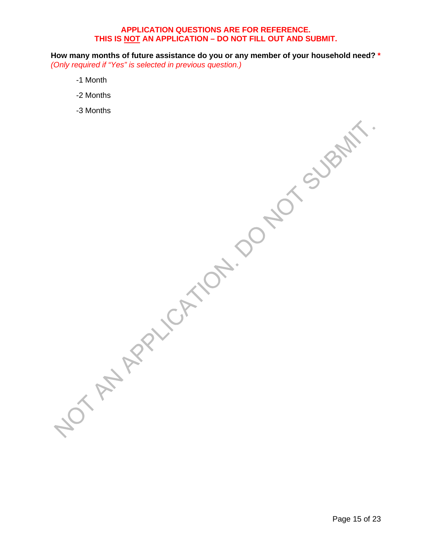**How many months of future assistance do you or any member of your household need? \*** *(Only required if "Yes" is selected in previous question.)*

- -1 Month
- -2 Months
- -3 Months

Page 15 of 23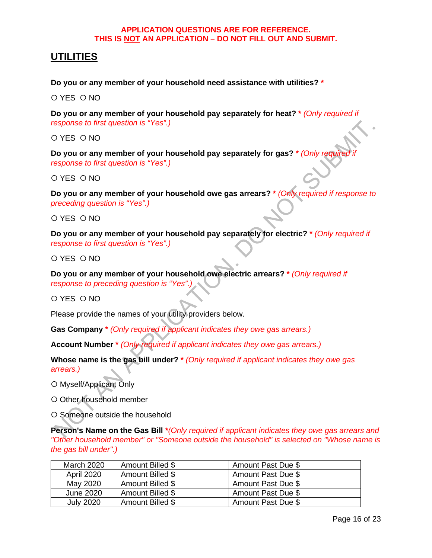## <span id="page-15-0"></span>**UTILITIES**

**Do you or any member of your household need assistance with utilities? \***

O YES O NO

**Do you or any member of your household pay separately for heat? \*** *(Only required if response to first question is "Yes".)*

O YES O NO

**Do you or any member of your household pay separately for gas? \*** *(Only required if response to first question is "Yes".)*

O YES O NO

**Do you or any member of your household owe gas arrears? \*** *(Only required if response to preceding question is "Yes".)*

O YES O NO

**Do you or any member of your household pay separately for electric? \*** *(Only required if response to first question is "Yes".)*

O YES O NO

**Do you or any member of your household owe electric arrears? \*** *(Only required if response to preceding question is "Yes".)*

O YES O NO

Please provide the names of your utility providers below.

**Gas Company \*** *(Only required if applicant indicates they owe gas arrears.)*

**Account Number \*** *(Only required if applicant indicates they owe gas arrears.)*

**Whose name is the gas bill under? \*** *(Only required if applicant indicates they owe gas arrears.)*

O Myself/Applicant Only

O Other household member

O Someone outside the household

**Person's Name on the Gas Bill \****(Only required if applicant indicates they owe gas arrears and "Other household member" or "Someone outside the household" is selected on "Whose name is the gas bill under".)*

| March 2020        | Amount Billed \$ | Amount Past Due \$ |
|-------------------|------------------|--------------------|
| <b>April 2020</b> | Amount Billed \$ | Amount Past Due \$ |
| May 2020          | Amount Billed \$ | Amount Past Due \$ |
| June 2020         | Amount Billed \$ | Amount Past Due \$ |
| <b>July 2020</b>  | Amount Billed \$ | Amount Past Due \$ |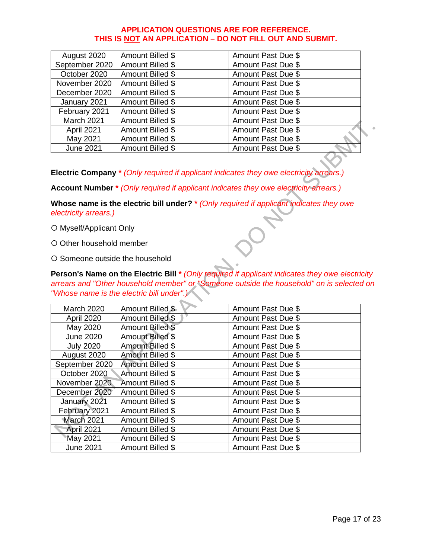| August 2020      | Amount Billed \$ | Amount Past Due \$ |
|------------------|------------------|--------------------|
| September 2020   | Amount Billed \$ | Amount Past Due \$ |
| October 2020     | Amount Billed \$ | Amount Past Due \$ |
| November 2020    | Amount Billed \$ | Amount Past Due \$ |
| December 2020    | Amount Billed \$ | Amount Past Due \$ |
| January 2021     | Amount Billed \$ | Amount Past Due \$ |
| February 2021    | Amount Billed \$ | Amount Past Due \$ |
| March 2021       | Amount Billed \$ | Amount Past Due \$ |
| April 2021       | Amount Billed \$ | Amount Past Due \$ |
| May 2021         | Amount Billed \$ | Amount Past Due \$ |
| <b>June 2021</b> | Amount Billed \$ | Amount Past Due \$ |
|                  |                  |                    |

**Electric Company \*** *(Only required if applicant indicates they owe electricity arrears.)*

**Account Number \*** *(Only required if applicant indicates they owe electricity arrears.)*

**Whose name is the electric bill under? \*** *(Only required if applicant indicates they owe electricity arrears.)*

O Myself/Applicant Only

O Other household member

O Someone outside the household

**Person's Name on the Electric Bill \*** *(Only required if applicant indicates they owe electricity arrears and "Other household member" or "Someone outside the household" on is selected on "Whose name is the electric bill under".)*

| <b>March 2020</b> | Amount Billed \$        | Amount Past Due \$ |
|-------------------|-------------------------|--------------------|
| <b>April 2020</b> | Amount Billed \$        | Amount Past Due \$ |
| May 2020          | Amount Billed \$        | Amount Past Due \$ |
| <b>June 2020</b>  | Amount Billed \$        | Amount Past Due \$ |
| <b>July 2020</b>  | <b>Amount Billed \$</b> | Amount Past Due \$ |
| August 2020       | <b>Amount Billed \$</b> | Amount Past Due \$ |
| September 2020    | Amount Billed \$        | Amount Past Due \$ |
| October 2020      | Amount Billed \$        | Amount Past Due \$ |
| November 2020     | Amount Billed \$        | Amount Past Due \$ |
| December 2020     | Amount Billed \$        | Amount Past Due \$ |
| January 2021      | Amount Billed \$        | Amount Past Due \$ |
| February 2021     | Amount Billed \$        | Amount Past Due \$ |
| March 2021        | Amount Billed \$        | Amount Past Due \$ |
| April 2021        | Amount Billed \$        | Amount Past Due \$ |
| May 2021          | Amount Billed \$        | Amount Past Due \$ |
| <b>June 2021</b>  | Amount Billed \$        | Amount Past Due \$ |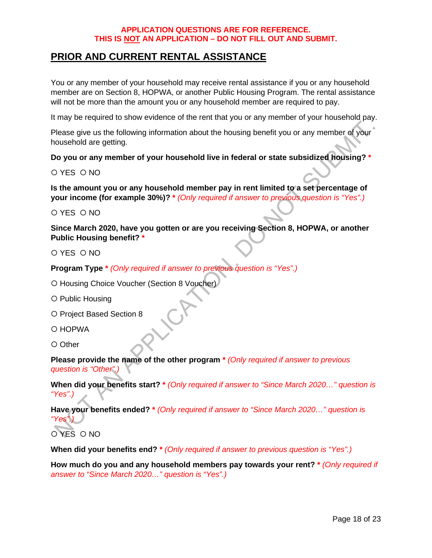# <span id="page-17-0"></span>**PRIOR AND CURRENT RENTAL ASSISTANCE**

You or any member of your household may receive rental assistance if you or any household member are on Section 8, HOPWA, or another Public Housing Program. The rental assistance will not be more than the amount you or any household member are required to pay.

It may be required to show evidence of the rent that you or any member of your household pay.

Please give us the following information about the housing benefit you or any member of your household are getting.

**Do you or any member of your household live in federal or state subsidized housing? \***

O YES O NO

**Is the amount you or any household member pay in rent limited to a set percentage of your income (for example 30%)? \*** *(Only required if answer to previous question is "Yes".)*

O YES O NO

**Since March 2020, have you gotten or are you receiving Section 8, HOPWA, or another Public Housing benefit? \***

O YES O NO

**Program Type \*** *(Only required if answer to previous question is "Yes".)*

O Housing Choice Voucher (Section 8 Voucher)

O Public Housing

O Project Based Section 8

O HOPWA

O Other

**Please provide the name of the other program \*** *(Only required if answer to previous question is "Other".)*

**When did your benefits start? \*** *(Only required if answer to "Since March 2020…" question is "Yes".)*

**Have your benefits ended? \*** *(Only required if answer to "Since March 2020…" question is "Yes".)*

O YES O NO

**When did your benefits end? \*** *(Only required if answer to previous question is "Yes".)*

**How much do you and any household members pay towards your rent? \*** *(Only required if answer to "Since March 2020…" question is "Yes".)*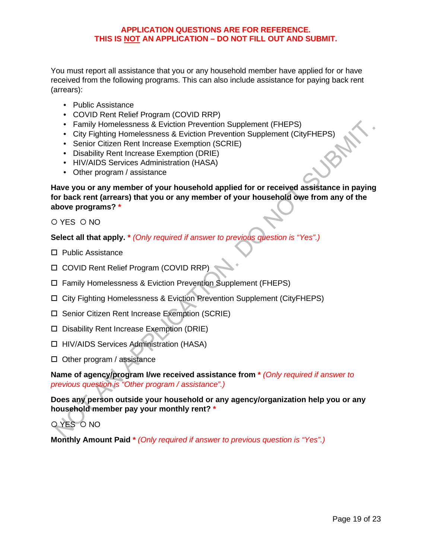You must report all assistance that you or any household member have applied for or have received from the following programs. This can also include assistance for paying back rent (arrears):

- Public Assistance
- COVID Rent Relief Program (COVID RRP)
- Family Homelessness & Eviction Prevention Supplement (FHEPS)
- City Fighting Homelessness & Eviction Prevention Supplement (CityFHEPS)
- Senior Citizen Rent Increase Exemption (SCRIE)
- Disability Rent Increase Exemption (DRIE)
- HIV/AIDS Services Administration (HASA)
- Other program / assistance

**Have you or any member of your household applied for or received assistance in paying for back rent (arrears) that you or any member of your household owe from any of the above programs? \***

 $OYFS$   $ONO$ 

**Select all that apply. \*** *(Only required if answer to previous question is "Yes".)*

- □ Public Assistance
- COVID Rent Relief Program (COVID RRP)
- Family Homelessness & Eviction Prevention Supplement (FHEPS)
- City Fighting Homelessness & Eviction Prevention Supplement (CityFHEPS)
- □ Senior Citizen Rent Increase Exemption (SCRIE)
- □ Disability Rent Increase Exemption (DRIE)
- □ HIV/AIDS Services Administration (HASA)
- $\Box$  Other program / assistance

**Name of agency/program I/we received assistance from \*** *(Only required if answer to previous question is "Other program / assistance".)*

**Does any person outside your household or any agency/organization help you or any household member pay your monthly rent? \***

# O YES O NO

**Monthly Amount Paid \*** *(Only required if answer to previous question is "Yes".)*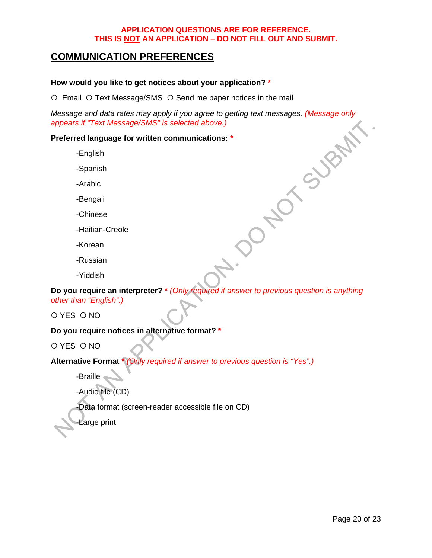# <span id="page-19-0"></span>**COMMUNICATION PREFERENCES**

#### **How would you like to get notices about your application? \***

O Email O Text Message/SMS O Send me paper notices in the mail

*Message and data rates may apply if you agree to getting text messages. (Message only appears if "Text Message/SMS" is selected above.)*<br> **Preferred language for written communications:** \*<br>
Finglish<br>
-Spanish<br>
-Arabic<br>
-B *appears if "Text Message/SMS" is selected above.)*

#### **Preferred language for written communications: \***

-English

-Spanish

-Arabic

-Bengali

-Chinese

-Haitian-Creole

-Korean

-Russian

-Yiddish

**Do you require an interpreter? \*** *(Only required if answer to previous question is anything other than "English".)*

O YES O NO

#### **Do you require notices in alternative format? \***

O YES O NO

**Alternative Format \*** *(Only required if answer to previous question is "Yes".)*

-Braille

-Audio file (CD)

-Data format (screen-reader accessible file on CD)

Large print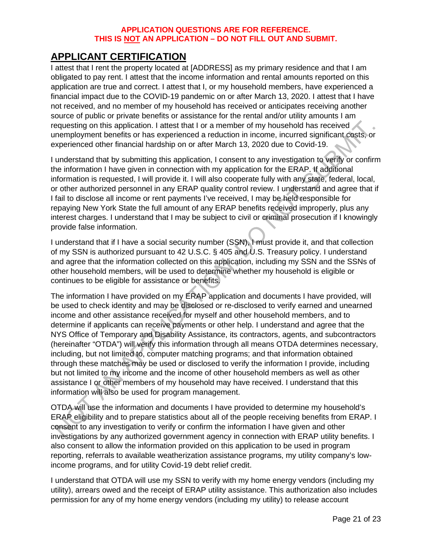# <span id="page-20-0"></span>**APPLICANT CERTIFICATION**

I attest that I rent the property located at [ADDRESS] as my primary residence and that I am obligated to pay rent. I attest that the income information and rental amounts reported on this application are true and correct. I attest that I, or my household members, have experienced a financial impact due to the COVID-19 pandemic on or after March 13, 2020. I attest that I have not received, and no member of my household has received or anticipates receiving another source of public or private benefits or assistance for the rental and/or utility amounts I am requesting on this application. I attest that I or a member of my household has received unemployment benefits or has experienced a reduction in income, incurred significant costs, or experienced other financial hardship on or after March 13, 2020 due to Covid-19.

I understand that by submitting this application, I consent to any investigation to verify or confirm the information I have given in connection with my application for the ERAP. If additional information is requested, I will provide it. I will also cooperate fully with any state, federal, local, or other authorized personnel in any ERAP quality control review. I understand and agree that if I fail to disclose all income or rent payments I've received, I may be held responsible for repaying New York State the full amount of any ERAP benefits received improperly, plus any interest charges. I understand that I may be subject to civil or criminal prosecution if I knowingly provide false information.

I understand that if I have a social security number (SSN), I must provide it, and that collection of my SSN is authorized pursuant to 42 U.S.C. § 405 and U.S. Treasury policy. I understand and agree that the information collected on this application, including my SSN and the SSNs of other household members, will be used to determine whether my household is eligible or continues to be eligible for assistance or benefits.

The information I have provided on my ERAP application and documents I have provided, will be used to check identity and may be disclosed or re-disclosed to verify earned and unearned income and other assistance received for myself and other household members, and to determine if applicants can receive payments or other help. I understand and agree that the NYS Office of Temporary and Disability Assistance, its contractors, agents, and subcontractors (hereinafter "OTDA") will verify this information through all means OTDA determines necessary, including, but not limited to, computer matching programs; and that information obtained through these matches may be used or disclosed to verify the information I provide, including but not limited to my income and the income of other household members as well as other assistance I or other members of my household may have received. I understand that this information will also be used for program management.

OTDA will use the information and documents I have provided to determine my household's ERAP eligibility and to prepare statistics about all of the people receiving benefits from ERAP. I consent to any investigation to verify or confirm the information I have given and other investigations by any authorized government agency in connection with ERAP utility benefits. I also consent to allow the information provided on this application to be used in program reporting, referrals to available weatherization assistance programs, my utility company's lowincome programs, and for utility Covid-19 debt relief credit.

I understand that OTDA will use my SSN to verify with my home energy vendors (including my utility), arrears owed and the receipt of ERAP utility assistance. This authorization also includes permission for any of my home energy vendors (including my utility) to release account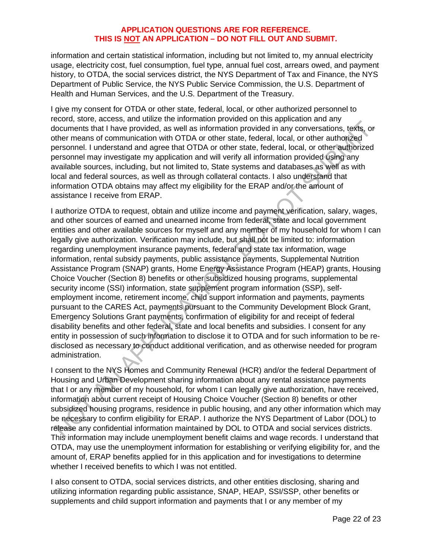information and certain statistical information, including but not limited to, my annual electricity usage, electricity cost, fuel consumption, fuel type, annual fuel cost, arrears owed, and payment history, to OTDA, the social services district, the NYS Department of Tax and Finance, the NYS Department of Public Service, the NYS Public Service Commission, the U.S. Department of Health and Human Services, and the U.S. Department of the Treasury.

I give my consent for OTDA or other state, federal, local, or other authorized personnel to record, store, access, and utilize the information provided on this application and any documents that I have provided, as well as information provided in any conversations, texts, or other means of communication with OTDA or other state, federal, local, or other authorized personnel. I understand and agree that OTDA or other state, federal, local, or other authorized personnel may investigate my application and will verify all information provided using any available sources, including, but not limited to, State systems and databases as well as with local and federal sources, as well as through collateral contacts. I also understand that information OTDA obtains may affect my eligibility for the ERAP and/or the amount of assistance I receive from ERAP.

I authorize OTDA to request, obtain and utilize income and payment verification, salary, wages, and other sources of earned and unearned income from federal, state and local government entities and other available sources for myself and any member of my household for whom I can legally give authorization. Verification may include, but shall not be limited to: information regarding unemployment insurance payments, federal and state tax information, wage information, rental subsidy payments, public assistance payments, Supplemental Nutrition Assistance Program (SNAP) grants, Home Energy Assistance Program (HEAP) grants, Housing Choice Voucher (Section 8) benefits or other subsidized housing programs, supplemental security income (SSI) information, state supplement program information (SSP), selfemployment income, retirement income, child support information and payments, payments pursuant to the CARES Act, payments pursuant to the Community Development Block Grant, Emergency Solutions Grant payments, confirmation of eligibility for and receipt of federal disability benefits and other federal, state and local benefits and subsidies. I consent for any entity in possession of such information to disclose it to OTDA and for such information to be redisclosed as necessary to conduct additional verification, and as otherwise needed for program administration.

I consent to the NYS Homes and Community Renewal (HCR) and/or the federal Department of Housing and Urban Development sharing information about any rental assistance payments that I or any member of my household, for whom I can legally give authorization, have received, information about current receipt of Housing Choice Voucher (Section 8) benefits or other subsidized housing programs, residence in public housing, and any other information which may be necessary to confirm eligibility for ERAP. I authorize the NYS Department of Labor (DOL) to release any confidential information maintained by DOL to OTDA and social services districts. This information may include unemployment benefit claims and wage records. I understand that OTDA, may use the unemployment information for establishing or verifying eligibility for, and the amount of, ERAP benefits applied for in this application and for investigations to determine whether I received benefits to which I was not entitled.

I also consent to OTDA, social services districts, and other entities disclosing, sharing and utilizing information regarding public assistance, SNAP, HEAP, SSI/SSP, other benefits or supplements and child support information and payments that I or any member of my